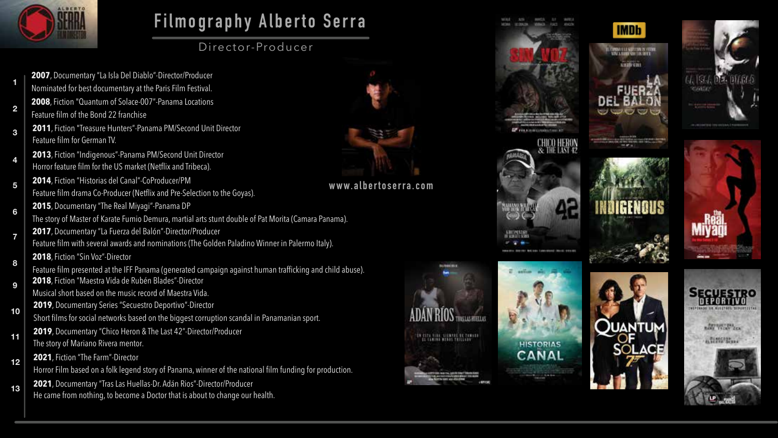

**1**

**2**

**3**

**4**

**5**

**8**

## **Filmography Alberto Serra**

Director-Producer

- **2007**, Documentary "La Isla Del Diablo"-Director/Producer Nominated for best documentary at the Paris Film Festival. **2008**, Fiction "Quantum of Solace-007"-Panama Locations Feature film of the Bond 22 franchise
- **2011**, Fiction "Treasure Hunters"-Panama PM/Second Unit Director Feature film for German TV.
- **2013**, Fiction "Indigenous"-Panama PM/Second Unit Director Horror feature film for the US market (Netflix and Tribeca).
- **2014**, Fiction "Historias del Canal"-CoProducer/PM
- Feature film drama Co-Producer (Netflix and Pre-Selection to the Goyas). **2015**, Documentary "The Real Miyagi"-Panama DP
- **6** The story of Master of Karate Fumio Demura, martial arts stunt double of Pat Morita (Camara Panama).
- **2017**, Documentary "La Fuerza del Balón"-Director/Producer **7**
	- Feature film with several awards and nominations (The Golden Paladino Winner in Palermo Italy).
	- **2018**, Fiction "Sin Voz"-Director
- Feature film presented at the IFF Panama (generated campaign against human trafficking and child abuse). **<sup>9</sup> <sup>2018</sup>**, Fiction "Maestra Vida de Rubén Blades"-Director
	- Musical short based on the music record of Maestra Vida.
	- **2019**, Documentary Series "Secuestro Deportivo"-Director
- Short films for social networks based on the biggest corruption scandal in Panamanian sport. **10**
- **11 2019**, Documentary "Chico Heron & The Last 42"-Director/Producer The story of Mariano Rivera mentor.
- **12 2021**, Fiction "The Farm"-Director

Horror Film based on a folk legend story of Panama, winner of the national film funding for production.

13 **2021**, Documentary "Tras Las Huellas-Dr. Adán Rios"-Director/Producer He came from nothing, to become a Doctor that is about to change our health.



**www.albertoserra.com**







**ARVENET DEA** 

A SERGIONALE